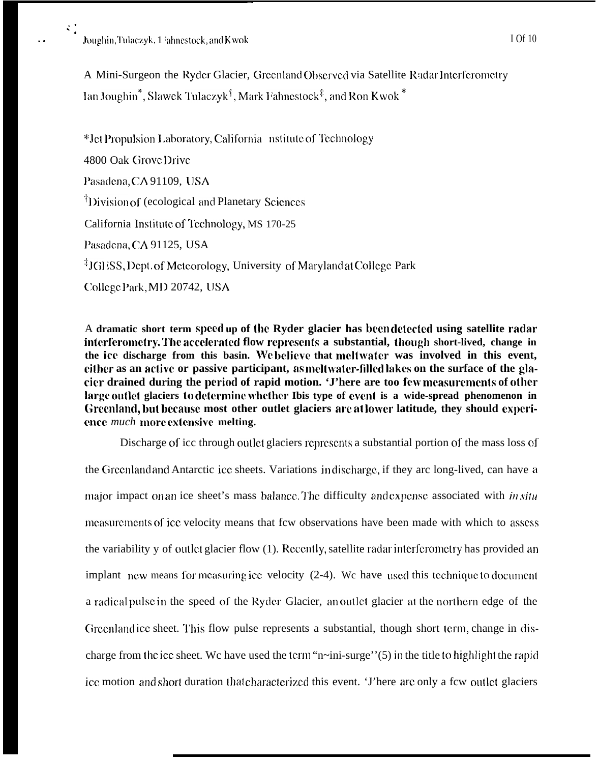

A Mini-Surgeon the Ryder Glacier, Greenland Observed via Satellite Radar Interferometry Ian Joughin<sup>\*</sup>, Slawek Tulaczyk<sup>†</sup>, Mark Fahnestock<sup>‡</sup>, and Ron Kwok<sup>\*</sup>

\*Jet Propulsion Laboratory, California nstitute of Technology 4800 Oak Grove Drive Pasadena, CA 91109, USA <sup>†</sup>Division of (ecological and Planetary Sciences California Institute of Technology, MS 170-25 Pasadena, CA 91125, USA <sup>‡</sup>JGESS, Dept. of Meteorology, University of Maryland at College Park College Park, MD 20742, USA

A dramatic short term speed up of the Ryder glacier has been detected using satellite radar interferometry. The accelerated flow represents a substantial, though short-lived, change in the ice discharge from this basin. We believe that meltwater was involved in this event, either as an active or passive participant, as meltwater-filled lakes on the surface of the glacier drained during the period of rapid motion. 'J'here are too few measurements of other large outlet glaciers to determine whether Ibis type of event is a wide-spread phenomenon in Greenland, but because most other outlet glaciers are at lower latitude, they should experience *much* more extensive melting.

Discharge of icc through outlet glaciers represents a substantial portion of the mass loss of the Greenland and Antarctic ice sheets. Variations in discharge, if they are long-lived, can have a major impact on an ice sheet's mass balance. The difficulty and expense associated with *in situ* measurements of ice velocity means that few observations have been made with which to assess the variability y of outlet glacier flow (1). Recently, satellite radar interferometry has provided an implant new means for measuring ice velocity (2-4). We have used this technique to document a radical pulse in the speed of the Ryder Glacier, an outlet glacier at the northern edge of the Greenland ice sheet. This flow pulse represents a substantial, though short term, change in discharge from the ice sheet. We have used the term "n~ini-surge" $(5)$  in the title to highlight the rapid ice motion and short duration that characterized this event. 'J'here are only a few outlet glaciers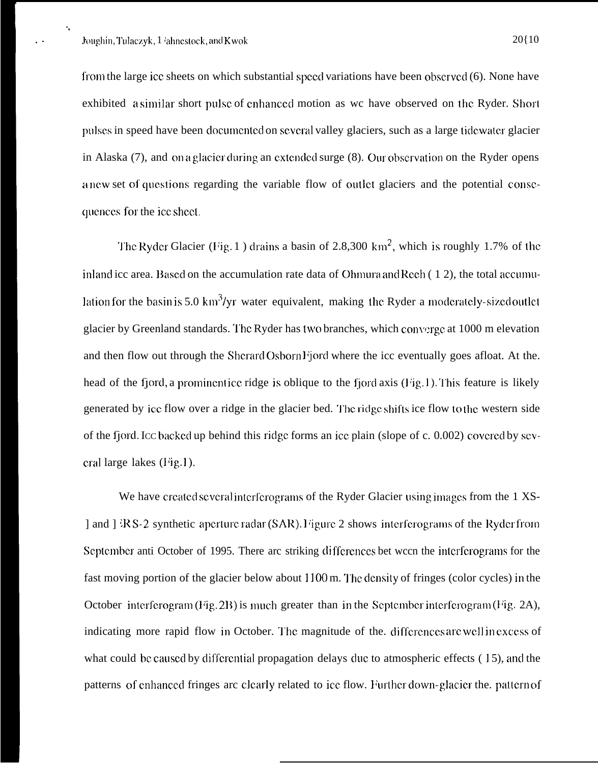-.

from the large icc sheets on which substantial speed variations have been obscrved  $(6)$ . None have exhibited a similar short pulse of enhanced motion as we have observed on the Ryder. Short pulses in speed have been documented on several valley glaciers, such as a large tidewater glacier in Alaska  $(7)$ , and on a glacier during an extended surge  $(8)$ . Our observation on the Ryder opens a ncw set of questions regarding the variable flow of outlet glaciers and the potential consequences for the ice sheet.

The Ryder Glacier (Fig. 1) drains a basin of 2.8,300 km<sup>2</sup>, which is roughly 1.7% of the inland icc area. Based on the accumulation rate data of Ohmura and Rech  $( 1 2)$ , the total accumulation for the basin is 5.0 km<sup>3</sup>/yr water equivalent, making the Ryder a moderately-sized outlet glacier by Greenland standards. The Ryder has two branches, which converge at 1000 m elevation and then flow out through the Shcrard Osborn Fjord where the icc eventually goes afloat. At the. head of the fjord, a prominent ice ridge is oblique to the fjord axis (Fig. 1). This feature is likely generated by ice flow over a ridge in the glacier bed. The ridge shifts ice flow to the western side of the fjord. Icc backed up behind this ridge forms an ice plain (slope of c. 0.002) covered by sev $c$ ral large lakes (Fig. 1).

We have created several interferograms of the Ryder Glacier using images from the 1 XS-] and  $]$   ${}^{\text{R}}S-2$  synthetic aperture radar (SAR). Figure 2 shows interferograms of the Ryder from September anti October of 1995. There arc striking differences bet ween the interferograms for the fast moving portion of the glacier below about 1100 m. The density of fringes (color cycles) in the October interferogram (Fig. 2B) is much greater than in the September interferogram (Fig. 2A), indicating more rapid flow in October. The magnitude of the. differences are well in excess of what could be caused by differential propagation delays due to atmospheric effects  $(15)$ , and the patterns of enhanced fringes arc clearly related to ice flow. Further down-glacier the. pattern of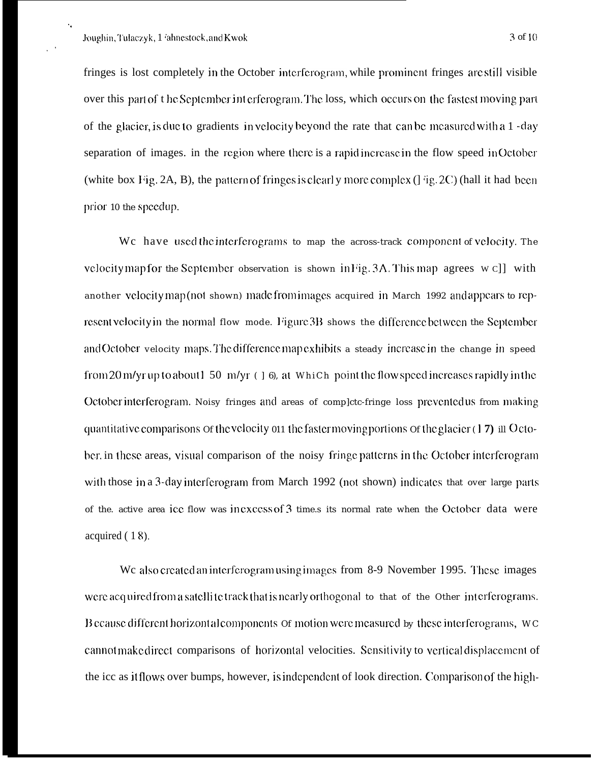. .

,'

fringes is lost completely in the October interferogram, while prominent fringes are still visible over this part of the September int erferogram. The loss, which occurs on the fastest moving part of the glacier, is due to gradients in velocity beyond the rate that can be measured with a 1-day separation of images, in the region where there is a rapid increase in the flow speed in October (white box Fig. 2A, B), the pattern of fringes is clearly more complex ( $\int$  'ig. 2C) (hall it had been prior 10 the speedup.

We have used the interferograms to map the across-track component of velocity. The velocity map for the Scptember observation is shown in Fig.  $3A$ . This map agrees w c]] with another vclocity map (not shown) made from images acquired in March 1992 and appears to represent velocity in the normal flow mode. Figure 3B shows the difference between the September and October velocity maps. The difference map exhibits a steady increase in the change in speed from 20 m/yr up to about  $1\,50\,$  m/yr (  $\,$   $\,$  6), at WhiCh point the flow speed increases rapidly in the October interferogram. Noisy fringes and areas of complete-fringe loss prevented us from making quantitative comparisons of the velocity 011 the faster moving portions of the glacier  $(17)$  ill October in these areas, visual comparison of the noisy fringe patterns in the October interferogran with those in a 3-day interferogram from March 1992 (not shown) indicates that over large parts of the. active area icc flow was incxccss of 3 time.s its normal rate when the October data were acquired ( 1 8).

We also created an interferogram using images from 8-9 November 1995. These images were acquired from a satellite track that is nearly orthogonal to that of the Other interferograms. B ccause different horizont al components of motion were measured by these interferograms, WC cannot make direct comparisons of horizontal velocities. Sensitivity to vertical displacement of the icc as it flows over bumps, however, is independent of look direction. Comparison of the high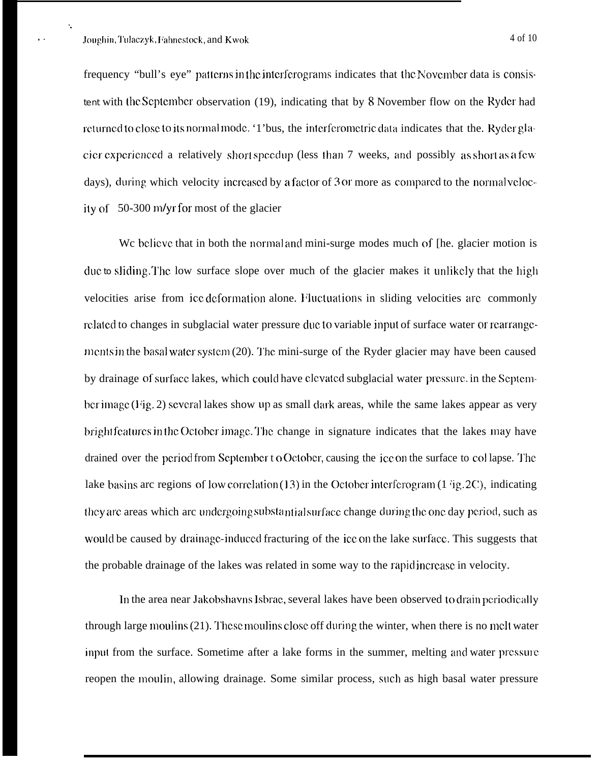. .

frequency "bull's eye" patterns in the interferograms indicates that the November data is consistent with the Scptcmbcr observation (19), indicating that by 8 November flow on the Ryder had returned to close to its normal mode. '1'bus, the interferometric data indicates that the. Ryder glacier experienced a relatively short speedup (less than 7 weeks, and possibly as short as a few days), during, which velocity increased by a factor of 3 or more as compared to the normal velocity of 50-300 *m/yr* for most of the glacier

We believe that in both the normal and mini-surge modes much of [he. glacier motion is duc to sliding. The low surface slope over much of the glacier makes it unlikely that the high velocities arise from icc deformation alone. Fluctuations in sliding velocities are commonly related to changes in subglacial water pressure duc to variable input of surface water or rearrangements in the basal water system  $(20)$ . The mini-surge of the Ryder glacier may have been caused by drainage of surface lakes, which could have clevated subglacial water pressure, in the September image (Fig. 2) several lakes show up as small dark areas, while the same lakes appear as very bright features in the October image. The change in signature indicates that the lakes may have drained over the period from September t o October, causing the ice on the surface to collapse. The lake b:isins arc regions of low corrclaticm (13) in the Octobcr intcrfcmgram (1 'ig. 2~), indicating they are areas which arc undergoing substantial surface change during the one day period, such as would be caused by drainage-induced fracturing of the icc on the lake surface. This suggests that the probable drainage of the lakes was related in some way to the rapid incrcasc in velocity.

In the area near Jakobshavns Isbrac, several lakes have been observed to drain periodically through large moulins (21). These moulins close off during the winter, when there is no melt water input from the surface. Sometime after a lake forms in the summer, melting and water pressure reopen the moulin, allowing drainage. Some similar process, such as high basal water pressure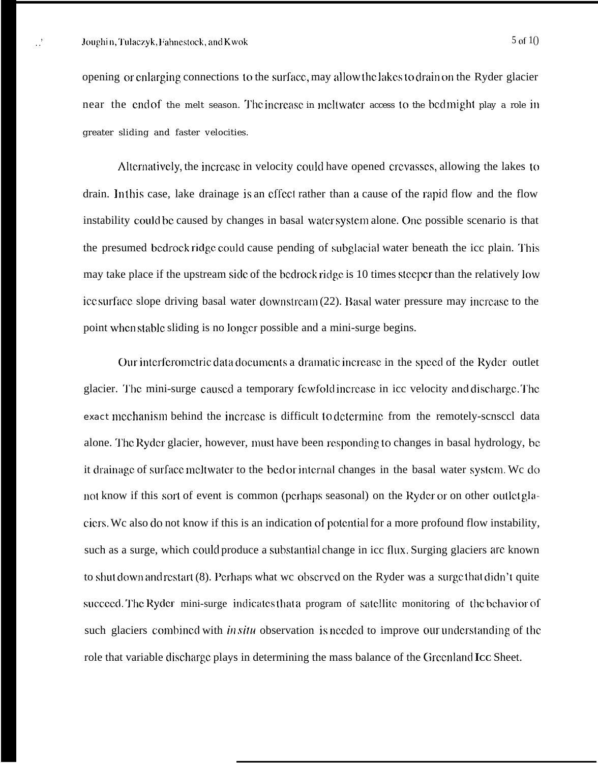opening or cnlarging connections to the surface, may allow the lakes to drain on the Ryder glacier near the end of the melt season. The increase in meltwater access to the bed might play a role in greater sliding and faster velocities.

Alternatively, the increase in velocity could have opened crevasses, allowing the lakes to drain. In this case, lake drainage is an effect rather than a cause of the rapid flow and the flow instability could be caused by changes in basal water system alone. One possible scenario is that the presumed bedrock ridge could cause pending of subglacial water beneath the icc plain. This may take place if the upstream side of the bedrock ridge is 10 times steeper than the relatively low icc surface slope driving basal water downstream (22). Basal water pressure may increase to the point when stable sliding is no longer possible and a mini-surge begins.

Our interferometric data documents a dramatic increase in the speed of the Ryder outlet glacier. The mini-surge caused a temporary fewfold increase in icc velocity and discharge. The exact mechanism behind the increase is difficult to determine from the remotely-scnsccl data alone. The Ryder glacier, however, must have been responding to changes in basal hydrology, be it drainage of surface meltwater to the bed or internal changes in the basal water system. We do not know if this sort of event is common (perhaps seasonal) on the Ryder or on other outlet glaciers. Wc also do not know if this is an indication of potcntia] for a more profound flow instability, such as a surge, which could produce a substantial change in icc flux. Surging glaciers are known to shut down and restart  $(8)$ . Perhaps what we observed on the Ryder was a surge that didn't quite succeed. The Ryder mini-surge indicates that a program of satellite monitoring of the behavior of such glaciers combined with *in situ* observation is needed to improve our understanding of the role that variable discharge plays in determining the mass balance of the Greenland Icc Sheet.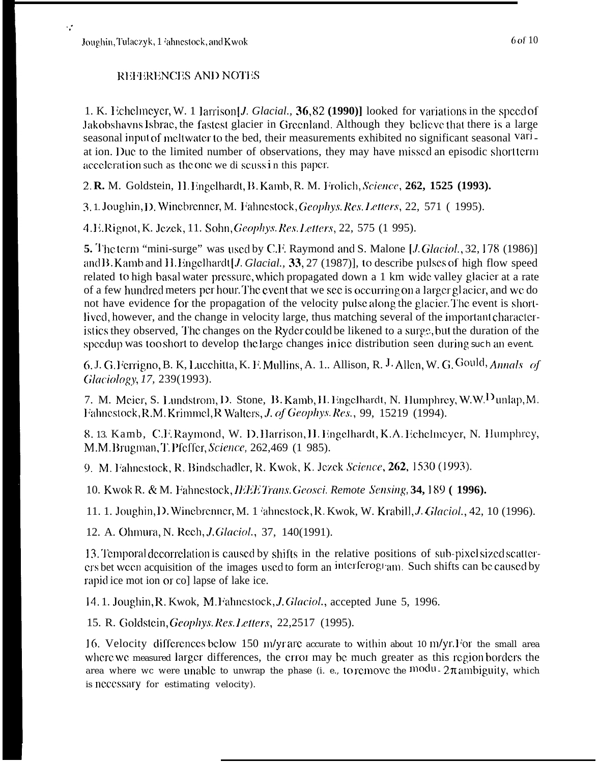Joughin, Tulaczyk, 1 'ahnestock, and Kwok

 $\sim$ 

## REFERENCES AND NOTES

1. K. Echelmeyer, W. 1 larrison [*J. Glacial.*,  $36,82$  (1990)] looked for variations in the speed of Jakobshavns Isbrae, the fastest glacier in Greenland. Although they believe that there is a large seasonal input of meltwater to the bed, their measurements exhibited no significant seasonal Variat ion. Due to the limited number of observations, they may have missed an episodic short term acceleration such as the one we di scuss in this paper.

2. R. M. Goldstein, H. Engelhardt, B. Kamb, R. M. Frolich, Science, 262, 1525 (1993).

3.1. Joughin, D. Winebrenner, M. Fahnestock, Geophys. Res. Letters, 22, 571 (1995).

4. E. Rignot, K. Jezek, 11. Sohn, Geophys. Res. Letters, 22, 575 (1 995).

5. The term "mini-surge" was used by C.F. Raymond and S. Malone [*J.Glaciol.*, 32, 178 (1986)] and B. Kamb and H. Engelhardt [J. Glacial., 33, 27 (1987)], to describe pulses of high flow speed related to high basal water pressure, which propagated down a 1 km wide valley glacier at a rate of a few hundred meters per hour. The event that we see is occurring on a larger glacier, and we do not have evidence for the propagation of the velocity pulse along the glacier. The event is shortlived, however, and the change in velocity large, thus matching several of the important characteristics they observed. The changes on the Ryder could be likened to a surge, but the duration of the speedup was too short to develop the large changes in ice distribution seen during such an event.

6. J. G. Ferrigno, B. K, Lucchitta, K. F. Mullins, A. 1.. Allison, R. J. Allen, W. G. Gould, Annals of Glaciology, 17, 239(1993).

7. M. Meier, S. Lundstrom, D. Stone, B. Kamb, H. Engelhardt, N. Humphrey, W.W. Dunlap, M. Fahnestock, R.M. Krimmel, R Walters, J. of Geophys. Res., 99, 15219 (1994).

8. 13. Kamb, C.F. Raymond, W. D. Harrison, H. Engelhardt, K.A. Echelmeyer, N. Humphrey, M.M. Brugman, T. Pfeffer, Science, 262,469 (1 985).

9. M. Fahnestock, R. Bindschadler, R. Kwok, K. Jezek Science, 262, 1530 (1993).

10. Kwok R. & M. Fahnestock, IEEE Trans. Geosci. Remote Sensing, 34, 189 (1996).

11. 1. Joughin, D. Winebrenner, M. 1 'ahnestock, R. Kwok, W. Krabill, *J. Glaciol.*, 42, 10 (1996).

12. A. Ohmura, N. Rech, J. Glaciol., 37, 140(1991).

13. Temporal decorrelation is caused by shifts in the relative positions of sub-pixel sized scatterers bet ween acquisition of the images used to form an interferogram. Such shifts can be caused by rapid ice mot ion or co] lapse of lake ice.

14.1. Joughin, R. Kwok, M. Fahnestock, J. Glaciol., accepted June 5, 1996.

15. R. Goldstein, Geophys. Res. Letters, 22,2517 (1995).

16. Velocity differences below 150 m/yr are accurate to within about 10 m/yr. For the small area where we measured larger differences, the error may be much greater as this region borders the area where wc were unable to unwrap the phase (i. e., to remove the modu-  $2\pi$  ambiguity, which is necessary for estimating velocity).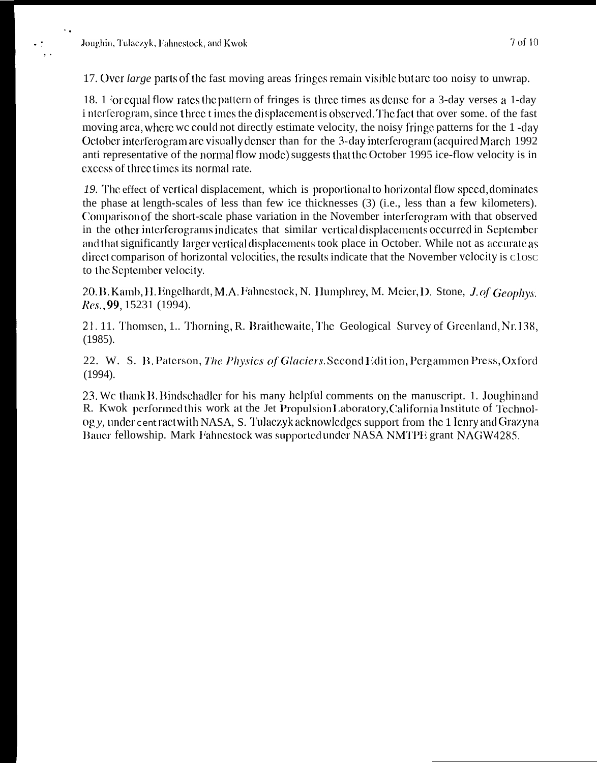7 of 10

17. Over *large* parts of the fast moving areas fringes remain visible but are too noisy to unwrap.

18. 1 for equal flow rates the pattern of fringes is three times as dense for a 3-day verses a 1-day i nterferogram, since three times the displacement is observed. The fact that over some, of the fast moving area, where we could not directly estimate velocity, the noisy fringe patterns for the 1-day October interferogram are visually denser than for the 3-day interferogram (acquired March 1992) anti representative of the normal flow mode) suggests that the October 1995 ice-flow velocity is in excess of three times its normal rate.

19. The effect of vertical displacement, which is proportional to horizontal flow speed, dominates the phase at length-scales of less than few ice thicknesses (3) (i.e., less than a few kilometers). Comparison of the short-scale phase variation in the November interferogram with that observed in the other interferograms indicates that similar vertical displacements occurred in September and that significantly larger vertical displacements took place in October. While not as accurate as direct comparison of horizontal velocities, the results indicate that the November velocity is close to the September velocity.

20. B. Kamb, H. Engelhardt, M.A. Fahnestock, N. Humphrey, M. Meier, D. Stone, J. of Geophys. Res., 99, 15231 (1994).

21.11. Thomsen, 1.. Thorning, R. Braithewaite, The Geological Survey of Greenland, Nr.138,  $(1985).$ 

22. W. S. B. Paterson, The Physics of Glaciers. Second Edition, Pergammon Press, Oxford  $(1994).$ 

23. We thank B, Bindschadler for his many helpful comments on the manuscript. 1. Joughin and R. Kwok performed this work at the Jet Propulsion Laboratory, California Institute of Technolog y, under cent ract with NASA, S. Tulaczyk acknowledges support from the 1 lenry and Grazyna Bauer fellowship. Mark Fahnestock was supported under NASA NMTPE grant NAGW4285.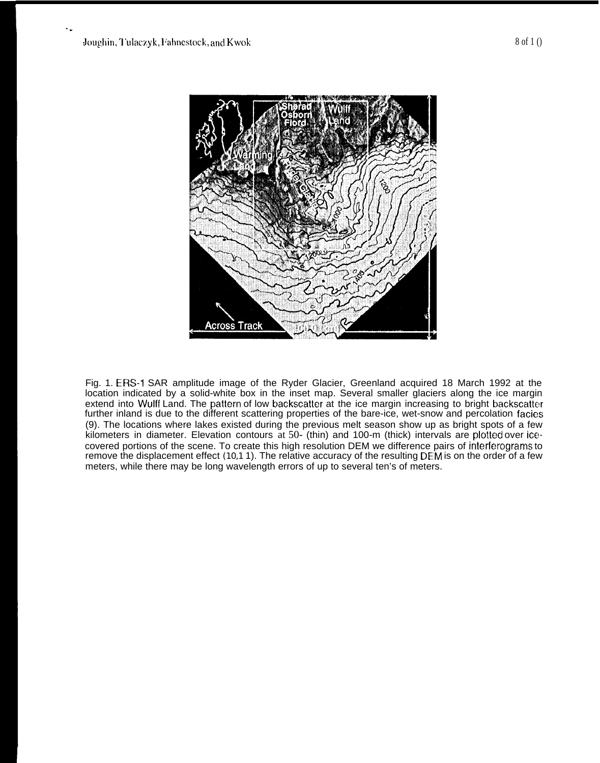

Fig. 1. ERS-1 SAR amplitude image of the Ryder Glacier, Greenland acquired 18 March 1992 at the location indicated by a solid-white box in the inset map. Several smaller glaciers along the ice margin extend into Wulff Land. The patlern of low backscatter at the ice margin increasing to bright backscatter further inland is due to the different scattering properties of the bare-ice, wet-snow and percolation facies (9). The locations where lakes existed during the previous melt season show up as bright spots of a few kilometers in diameter. Elevation contours at 50- (thin) and 100-m (thick) intervals are plotled over icecovered portions of the scene. To create this high resolution DEM we difference pairs of interferograms to remove the displacement effect (10,1 1). The relative accuracy of the resulting DEM is on the order of a few meters, while there may be long wavelength errors of up to several ten's of meters.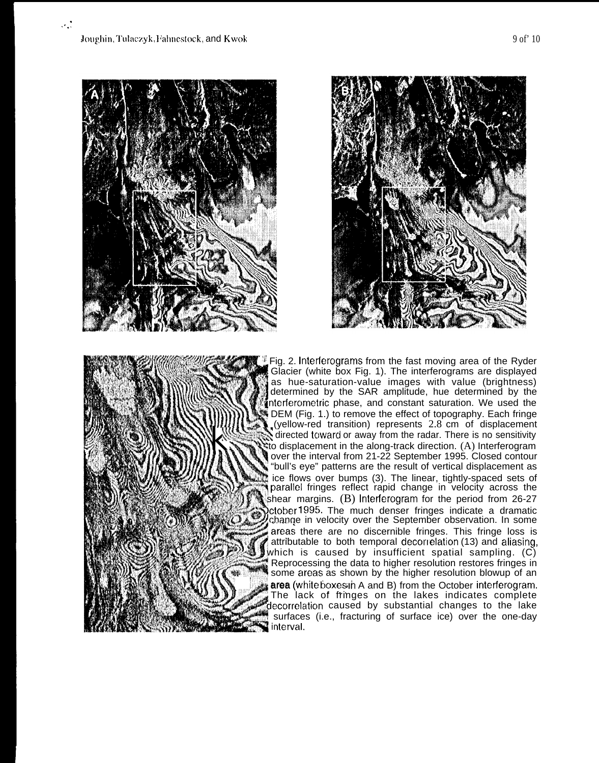





Fig. 2. Interferograms from the fast moving area of the Ryder Interferometric phase, and constant saturation. We used the Glacier (white box Fig. 1). The interferograms are displayed as hue-saturation-value images with value (brightness) determined by the SAR amplitude, hue determined by the  $\frac{2}{3}$  DEM (Fig. 1.) to remove the effect of topography. Each fringe  $\mathbf{Q}$  (yellow-red transition) represents 2.8 cm of displacement  $\mathbf{Q}$  directed toward or away from the radar. There is no sensitivity  $\ddot{\mathbf{r}}$  to displacement in the along-track direction. (A) Interferogram over the interval from 21-22 September 1995. Closed contour "bull's eye" patterns are the result of vertical displacement as ice flows over bumps (3). The linear, tightly-spaced sets of  $\mathbb{M}$  parallel fringes reflect rapid change in velocity across the shear margins.  $(B)$  Interferogram for the period from 26-27 ~\$%~~~\$~' october 1995. The much denser fringes indicate a dramatic change in velocity over the September observation. In some areas there are no discernible fringes. This fringe loss is attributable to both temporal decorrelation (13) and aliasing, which is caused by insufficient spatial sampling.  $(C)$ Reprocessing the data to higher resolution restores fringes in some areas as shown by the higher resolution blowup of an **area** (white boxes in A and B) from the October interferogram. The lack of fringes on the lakes indicates complete decorrelation caused by substantial changes to the lake surfaces (i.e., fracturing of surface ice) over the one-day interval.